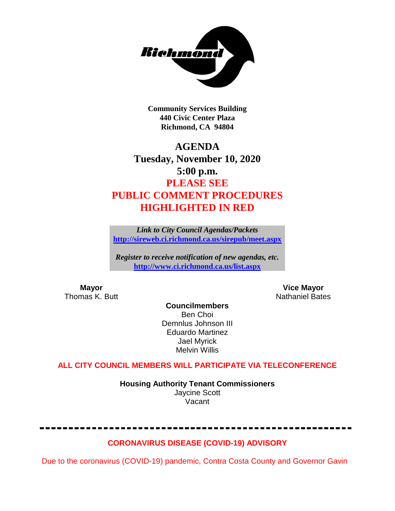

**Community Services Building 440 Civic Center Plaza Richmond, CA 94804**

## **AGENDA Tuesday, November 10, 2020 5:00 p.m. PLEASE SEE PUBLIC COMMENT PROCEDURES HIGHLIGHTED IN RED**

*Link to City Council Agendas/Packets* **<http://sireweb.ci.richmond.ca.us/sirepub/meet.aspx>**

*Register to receive notification of new agendas, etc.* **<http://www.ci.richmond.ca.us/list.aspx>**

**Mayor Mayor Wice Mayor Vice Mayor Vice Mayor Vice Mayor Vice Mayor Vice Mayor Vice Mayor Vice Mayor Vice Mayor Vice Mayor Vice Mayor Vice Mayor Vice Mayor Vice Mayor Vice Mayor Vice Mayor** Nathaniel Bates

**Councilmembers** Ben Choi Demnlus Johnson III Eduardo Martinez Jael Myrick Melvin Willis

### **ALL CITY COUNCIL MEMBERS WILL PARTICIPATE VIA TELECONFERENCE**

**Housing Authority Tenant Commissioners** Jaycine Scott Vacant

### **CORONAVIRUS DISEASE (COVID-19) ADVISORY**

Due to the coronavirus (COVID-19) pandemic, Contra Costa County and Governor Gavin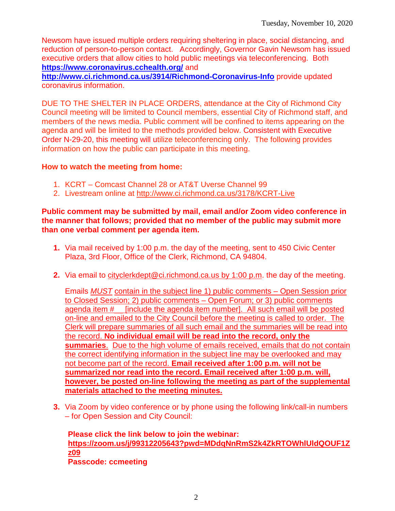Newsom have issued multiple orders requiring sheltering in place, social distancing, and reduction of person-to-person contact. Accordingly, Governor Gavin Newsom has issued executive orders that allow cities to hold public meetings via teleconferencing. Both **<https://www.coronavirus.cchealth.org/>** and

**<http://www.ci.richmond.ca.us/3914/Richmond-Coronavirus-Info>** provide updated coronavirus information.

DUE TO THE SHELTER IN PLACE ORDERS, attendance at the City of Richmond City Council meeting will be limited to Council members, essential City of Richmond staff, and members of the news media. Public comment will be confined to items appearing on the agenda and will be limited to the methods provided below. Consistent with Executive Order N-29-20, this meeting will utilize teleconferencing only. The following provides information on how the public can participate in this meeting.

### **How to watch the meeting from home:**

- 1. KCRT Comcast Channel 28 or AT&T Uverse Channel 99
- 2. Livestream online at<http://www.ci.richmond.ca.us/3178/KCRT-Live>

### **Public comment may be submitted by mail, email and/or Zoom video conference in the manner that follows; provided that no member of the public may submit more than one verbal comment per agenda item.**

- **1.** Via mail received by 1:00 p.m. the day of the meeting, sent to 450 Civic Center Plaza, 3rd Floor, Office of the Clerk, Richmond, CA 94804.
- **2.** Via email to [cityclerkdept@ci.richmond.ca.us](mailto:cityclerkdept@ci.richmond.ca.us) by 1:00 p.m. the day of the meeting.

Emails *MUST* contain in the subject line 1) public comments – Open Session prior to Closed Session; 2) public comments – Open Forum; or 3) public comments agenda item #\_\_ [include the agenda item number]. All such email will be posted on-line and emailed to the City Council before the meeting is called to order. The Clerk will prepare summaries of all such email and the summaries will be read into the record. **No individual email will be read into the record, only the summaries**. Due to the high volume of emails received, emails that do not contain the correct identifying information in the subject line may be overlooked and may not become part of the record. **Email received after 1:00 p.m. will not be summarized nor read into the record. Email received after 1:00 p.m. will, however, be posted on-line following the meeting as part of the supplemental materials attached to the meeting minutes.**

**3.** Via Zoom by video conference or by phone using the following link/call-in numbers – for Open Session and City Council:

**Please click the link below to join the webinar: [https://zoom.us/j/99312205643?pwd=MDdqNnRmS2k4ZkRTOWhlUldQOUF1Z](https://zoom.us/j/99312205643?pwd=MDdqNnRmS2k4ZkRTOWhlUldQOUF1Zz09) [z09](https://zoom.us/j/99312205643?pwd=MDdqNnRmS2k4ZkRTOWhlUldQOUF1Zz09) Passcode: ccmeeting**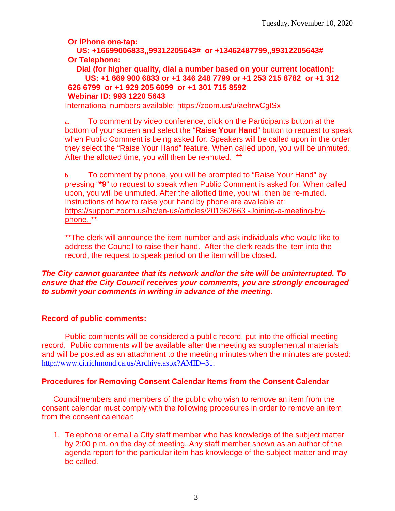**Or iPhone one-tap:**

**US: +16699006833,,99312205643# or +13462487799,,99312205643# Or Telephone:**

**Dial (for higher quality, dial a number based on your current location): US: +1 669 900 6833 or +1 346 248 7799 or +1 253 215 8782 or +1 312 626 6799 or +1 929 205 6099 or +1 301 715 8592 Webinar ID: 993 1220 5643**

International numbers available:<https://zoom.us/u/aehrwCgISx>

a. To comment by video conference, click on the Participants button at the bottom of your screen and select the "**Raise Your Hand**" button to request to speak when Public Comment is being asked for. Speakers will be called upon in the order they select the "Raise Your Hand" feature. When called upon, you will be unmuted. After the allotted time, you will then be re-muted. \*\*

b. To comment by phone, you will be prompted to "Raise Your Hand" by pressing "**\*9**" to request to speak when Public Comment is asked for. When called upon, you will be unmuted. After the allotted time, you will then be re-muted. Instructions of how to raise your hand by phone are available at: [https://support.zoom.us/hc/en-us/articles/201362663 -Joining-a-meeting-by](https://support.zoom.us/hc/en-us/articles/201362663)[phone.](https://support.zoom.us/hc/en-us/articles/201362663) \*\*

\*\*The clerk will announce the item number and ask individuals who would like to address the Council to raise their hand. After the clerk reads the item into the record, the request to speak period on the item will be closed.

### *The City cannot guarantee that its network and/or the site will be uninterrupted. To ensure that the City Council receives your comments, you are strongly encouraged to submit your comments in writing in advance of the meeting.*

### **Record of public comments:**

Public comments will be considered a public record, put into the official meeting record. Public comments will be available after the meeting as supplemental materials and will be posted as an attachment to the meeting minutes when the minutes are posted: [http://www.ci.richmond.ca.us/Archive.aspx?AMID=31.](http://www.ci.richmond.ca.us/Archive.aspx?AMID=31)

### **Procedures for Removing Consent Calendar Items from the Consent Calendar**

Councilmembers and members of the public who wish to remove an item from the consent calendar must comply with the following procedures in order to remove an item from the consent calendar:

1. Telephone or email a City staff member who has knowledge of the subject matter by 2:00 p.m. on the day of meeting. Any staff member shown as an author of the agenda report for the particular item has knowledge of the subject matter and may be called.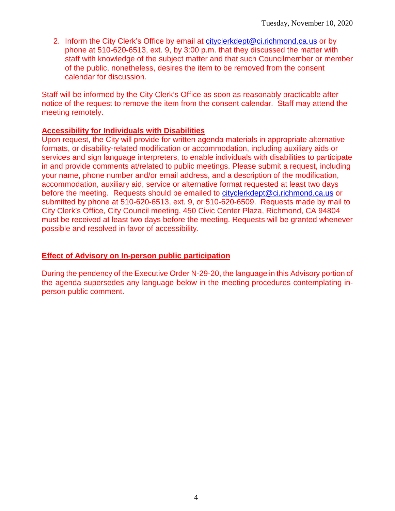2. Inform the City Clerk's Office by email at [cityclerkdept@ci.richmond.ca.us](mailto:cityclerkdept@ci.richmond.ca.us) or by phone at 510-620-6513, ext. 9, by 3:00 p.m. that they discussed the matter with staff with knowledge of the subject matter and that such Councilmember or member of the public, nonetheless, desires the item to be removed from the consent calendar for discussion.

Staff will be informed by the City Clerk's Office as soon as reasonably practicable after notice of the request to remove the item from the consent calendar. Staff may attend the meeting remotely.

### **Accessibility for Individuals with Disabilities**

Upon request, the City will provide for written agenda materials in appropriate alternative formats, or disability-related modification or accommodation, including auxiliary aids or services and sign language interpreters, to enable individuals with disabilities to participate in and provide comments at/related to public meetings. Please submit a request, including your name, phone number and/or email address, and a description of the modification, accommodation, auxiliary aid, service or alternative format requested at least two days before the meeting. Requests should be emailed to [cityclerkdept@ci.richmond.ca.us](mailto:cityclerkdept@ci.richmond.ca.us) or submitted by phone at 510-620-6513, ext. 9, or 510-620-6509. Requests made by mail to City Clerk's Office, City Council meeting, 450 Civic Center Plaza, Richmond, CA 94804 must be received at least two days before the meeting. Requests will be granted whenever possible and resolved in favor of accessibility.

#### **Effect of Advisory on In-person public participation**

During the pendency of the Executive Order N-29-20, the language in this Advisory portion of the agenda supersedes any language below in the meeting procedures contemplating inperson public comment.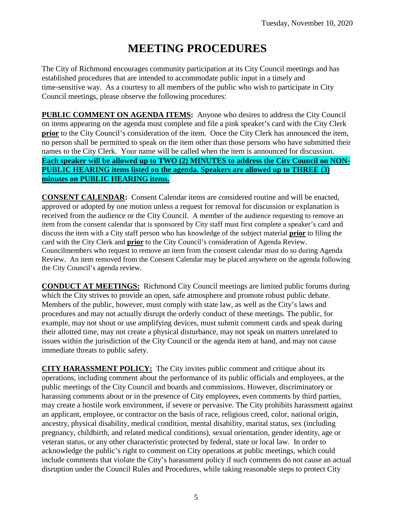# **MEETING PROCEDURES**

The City of Richmond encourages community participation at its City Council meetings and has established procedures that are intended to accommodate public input in a timely and time-sensitive way. As a courtesy to all members of the public who wish to participate in City Council meetings, please observe the following procedures:

**PUBLIC COMMENT ON AGENDA ITEMS:** Anyone who desires to address the City Council on items appearing on the agenda must complete and file a pink speaker's card with the City Clerk **prior** to the City Council's consideration of the item. Once the City Clerk has announced the item, no person shall be permitted to speak on the item other than those persons who have submitted their names to the City Clerk. Your name will be called when the item is announced for discussion. **Each speaker will be allowed up to TWO (2) MINUTES to address the City Council on NON-PUBLIC HEARING items listed on the agenda. Speakers are allowed up to THREE (3) minutes on PUBLIC HEARING items.**

**CONSENT CALENDAR:** Consent Calendar items are considered routine and will be enacted, approved or adopted by one motion unless a request for removal for discussion or explanation is received from the audience or the City Council. A member of the audience requesting to remove an item from the consent calendar that is sponsored by City staff must first complete a speaker's card and discuss the item with a City staff person who has knowledge of the subject material **prior** to filing the card with the City Clerk and **prior** to the City Council's consideration of Agenda Review. Councilmembers who request to remove an item from the consent calendar must do so during Agenda Review. An item removed from the Consent Calendar may be placed anywhere on the agenda following the City Council's agenda review.

**CONDUCT AT MEETINGS:** Richmond City Council meetings are limited public forums during which the City strives to provide an open, safe atmosphere and promote robust public debate. Members of the public, however, must comply with state law, as well as the City's laws and procedures and may not actually disrupt the orderly conduct of these meetings. The public, for example, may not shout or use amplifying devices, must submit comment cards and speak during their allotted time, may not create a physical disturbance, may not speak on matters unrelated to issues within the jurisdiction of the City Council or the agenda item at hand, and may not cause immediate threats to public safety.

**CITY HARASSMENT POLICY:** The City invites public comment and critique about its operations, including comment about the performance of its public officials and employees, at the public meetings of the City Council and boards and commissions. However, discriminatory or harassing comments about or in the presence of City employees, even comments by third parties, may create a hostile work environment, if severe or pervasive. The City prohibits harassment against an applicant, employee, or contractor on the basis of race, religious creed, color, national origin, ancestry, physical disability, medical condition, mental disability, marital status, sex (including pregnancy, childbirth, and related medical conditions), sexual orientation, gender identity, age or veteran status, or any other characteristic protected by federal, state or local law. In order to acknowledge the public's right to comment on City operations at public meetings, which could include comments that violate the City's harassment policy if such comments do not cause an actual disruption under the Council Rules and Procedures, while taking reasonable steps to protect City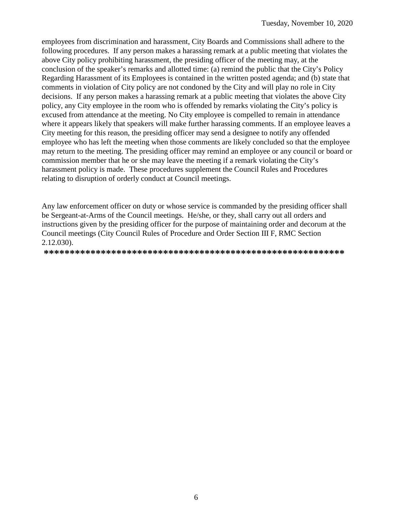employees from discrimination and harassment, City Boards and Commissions shall adhere to the following procedures. If any person makes a harassing remark at a public meeting that violates the above City policy prohibiting harassment, the presiding officer of the meeting may, at the conclusion of the speaker's remarks and allotted time: (a) remind the public that the City's Policy Regarding Harassment of its Employees is contained in the written posted agenda; and (b) state that comments in violation of City policy are not condoned by the City and will play no role in City decisions. If any person makes a harassing remark at a public meeting that violates the above City policy, any City employee in the room who is offended by remarks violating the City's policy is excused from attendance at the meeting. No City employee is compelled to remain in attendance where it appears likely that speakers will make further harassing comments. If an employee leaves a City meeting for this reason, the presiding officer may send a designee to notify any offended employee who has left the meeting when those comments are likely concluded so that the employee may return to the meeting. The presiding officer may remind an employee or any council or board or commission member that he or she may leave the meeting if a remark violating the City's harassment policy is made. These procedures supplement the Council Rules and Procedures relating to disruption of orderly conduct at Council meetings.

Any law enforcement officer on duty or whose service is commanded by the presiding officer shall be Sergeant-at-Arms of the Council meetings. He/she, or they, shall carry out all orders and instructions given by the presiding officer for the purpose of maintaining order and decorum at the Council meetings (City Council Rules of Procedure and Order Section III F, RMC Section 2.12.030).

**\*\*\*\*\*\*\*\*\*\*\*\*\*\*\*\*\*\*\*\*\*\*\*\*\*\*\*\*\*\*\*\*\*\*\*\*\*\*\*\*\*\*\*\*\*\*\*\*\*\*\*\*\*\*\*\*\*\***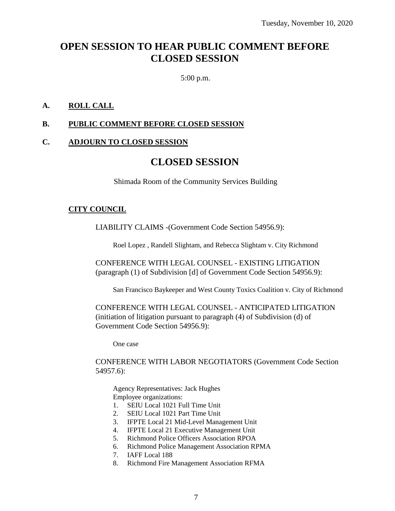### **OPEN SESSION TO HEAR PUBLIC COMMENT BEFORE CLOSED SESSION**

5:00 p.m.

### **A. ROLL CALL**

### **B. PUBLIC COMMENT BEFORE CLOSED SESSION**

#### **C. ADJOURN TO CLOSED SESSION**

### **CLOSED SESSION**

Shimada Room of the Community Services Building

#### **CITY COUNCIL**

LIABILITY CLAIMS -(Government Code Section 54956.9):

Roel Lopez , Randell Slightam, and Rebecca Slightam v. City Richmond

CONFERENCE WITH LEGAL COUNSEL - EXISTING LITIGATION (paragraph (1) of Subdivision [d] of Government Code Section 54956.9):

San Francisco Baykeeper and West County Toxics Coalition v. City of Richmond

CONFERENCE WITH LEGAL COUNSEL - ANTICIPATED LITIGATION (initiation of litigation pursuant to paragraph (4) of Subdivision (d) of Government Code Section 54956.9):

One case

CONFERENCE WITH LABOR NEGOTIATORS (Government Code Section 54957.6):

Agency Representatives: Jack Hughes Employee organizations:

- 1. SEIU Local 1021 Full Time Unit
- 2. SEIU Local 1021 Part Time Unit
- 3. IFPTE Local 21 Mid-Level Management Unit
- 4. IFPTE Local 21 Executive Management Unit
- 5. Richmond Police Officers Association RPOA
- 6. Richmond Police Management Association RPMA
- 7. IAFF Local 188
- 8. Richmond Fire Management Association RFMA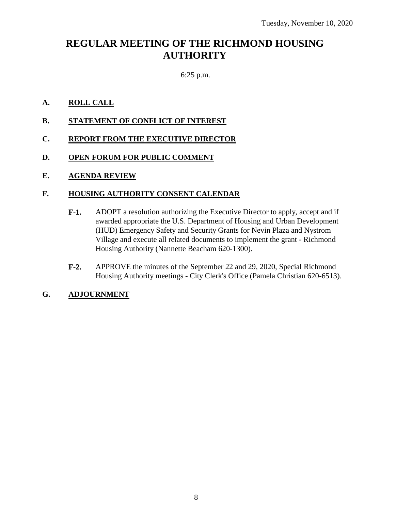### **REGULAR MEETING OF THE RICHMOND HOUSING AUTHORITY**

### 6:25 p.m.

### **A. ROLL CALL**

- **B. STATEMENT OF CONFLICT OF INTEREST**
- **C. REPORT FROM THE EXECUTIVE DIRECTOR**
- **D. OPEN FORUM FOR PUBLIC COMMENT**

### **E. AGENDA REVIEW**

### **F. HOUSING AUTHORITY CONSENT CALENDAR**

- **F-1.** ADOPT a resolution authorizing the Executive Director to apply, accept and if awarded appropriate the U.S. Department of Housing and Urban Development (HUD) Emergency Safety and Security Grants for Nevin Plaza and Nystrom Village and execute all related documents to implement the grant - Richmond Housing Authority (Nannette Beacham 620-1300).
- **F-2.** APPROVE the minutes of the September 22 and 29, 2020, Special Richmond Housing Authority meetings - City Clerk's Office (Pamela Christian 620-6513).

### **G. ADJOURNMENT**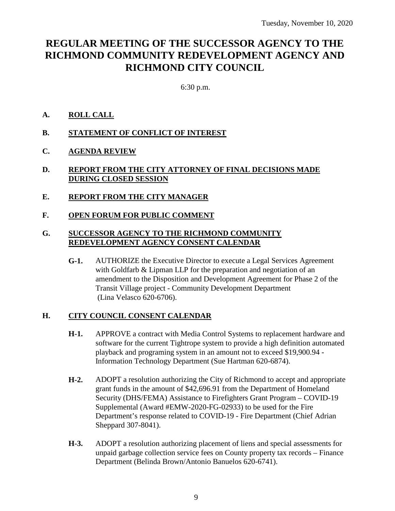### **REGULAR MEETING OF THE SUCCESSOR AGENCY TO THE RICHMOND COMMUNITY REDEVELOPMENT AGENCY AND RICHMOND CITY COUNCIL**

6:30 p.m.

### **A. ROLL CALL**

- **B. STATEMENT OF CONFLICT OF INTEREST**
- **C. AGENDA REVIEW**
- **D. REPORT FROM THE CITY ATTORNEY OF FINAL DECISIONS MADE DURING CLOSED SESSION**
- **E. REPORT FROM THE CITY MANAGER**
- **F. OPEN FORUM FOR PUBLIC COMMENT**

### **G. SUCCESSOR AGENCY TO THE RICHMOND COMMUNITY REDEVELOPMENT AGENCY CONSENT CALENDAR**

**G-1.** AUTHORIZE the Executive Director to execute a Legal Services Agreement with Goldfarb & Lipman LLP for the preparation and negotiation of an amendment to the Disposition and Development Agreement for Phase 2 of the Transit Village project - Community Development Department (Lina Velasco 620-6706).

### **H. CITY COUNCIL CONSENT CALENDAR**

- **H-1.** APPROVE a contract with Media Control Systems to replacement hardware and software for the current Tightrope system to provide a high definition automated playback and programing system in an amount not to exceed \$19,900.94 - Information Technology Department (Sue Hartman 620-6874).
- **H-2.** ADOPT a resolution authorizing the City of Richmond to accept and appropriate grant funds in the amount of \$42,696.91 from the Department of Homeland Security (DHS/FEMA) Assistance to Firefighters Grant Program – COVID-19 Supplemental (Award #EMW-2020-FG-02933) to be used for the Fire Department's response related to COVID-19 - Fire Department (Chief Adrian Sheppard 307-8041).
- **H-3.** ADOPT a resolution authorizing placement of liens and special assessments for unpaid garbage collection service fees on County property tax records – Finance Department (Belinda Brown/Antonio Banuelos 620-6741).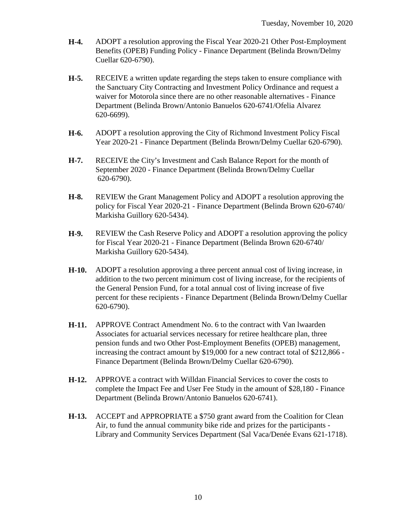- **H-4.** ADOPT a resolution approving the Fiscal Year 2020-21 Other Post-Employment Benefits (OPEB) Funding Policy - Finance Department (Belinda Brown/Delmy Cuellar 620-6790).
- **H-5.** RECEIVE a written update regarding the steps taken to ensure compliance with the Sanctuary City Contracting and Investment Policy Ordinance and request a waiver for Motorola since there are no other reasonable alternatives - Finance Department (Belinda Brown/Antonio Banuelos 620-6741/Ofelia Alvarez 620-6699).
- **H-6.** ADOPT a resolution approving the City of Richmond Investment Policy Fiscal Year 2020-21 - Finance Department (Belinda Brown/Delmy Cuellar 620-6790).
- **H-7.** RECEIVE the City's Investment and Cash Balance Report for the month of September 2020 - Finance Department (Belinda Brown/Delmy Cuellar 620-6790).
- **H-8.** REVIEW the Grant Management Policy and ADOPT a resolution approving the policy for Fiscal Year 2020-21 - Finance Department (Belinda Brown 620-6740/ Markisha Guillory 620-5434).
- **H-9.** REVIEW the Cash Reserve Policy and ADOPT a resolution approving the policy for Fiscal Year 2020-21 - Finance Department (Belinda Brown 620-6740/ Markisha Guillory 620-5434).
- **H-10.** ADOPT a resolution approving a three percent annual cost of living increase, in addition to the two percent minimum cost of living increase, for the recipients of the General Pension Fund, for a total annual cost of living increase of five percent for these recipients - Finance Department (Belinda Brown/Delmy Cuellar 620-6790).
- **H-11.** APPROVE Contract Amendment No. 6 to the contract with Van lwaarden Associates for actuarial services necessary for retiree healthcare plan, three pension funds and two Other Post-Employment Benefits (OPEB) management, increasing the contract amount by \$19,000 for a new contract total of \$212,866 - Finance Department (Belinda Brown/Delmy Cuellar 620-6790).
- **H-12.** APPROVE a contract with Willdan Financial Services to cover the costs to complete the Impact Fee and User Fee Study in the amount of \$28,180 - Finance Department (Belinda Brown/Antonio Banuelos 620-6741).
- **H-13.** ACCEPT and APPROPRIATE a \$750 grant award from the Coalition for Clean Air, to fund the annual community bike ride and prizes for the participants - Library and Community Services Department (Sal Vaca/Denée Evans 621-1718).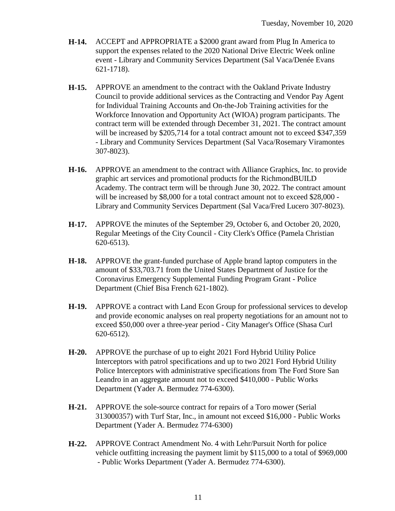- **H-14.** ACCEPT and APPROPRIATE a \$2000 grant award from Plug In America to support the expenses related to the 2020 National Drive Electric Week online event - Library and Community Services Department (Sal Vaca/Denée Evans 621-1718).
- **H-15.** APPROVE an amendment to the contract with the Oakland Private Industry Council to provide additional services as the Contracting and Vendor Pay Agent for Individual Training Accounts and On-the-Job Training activities for the Workforce Innovation and Opportunity Act (WIOA) program participants. The contract term will be extended through December 31, 2021. The contract amount will be increased by \$205,714 for a total contract amount not to exceed \$347,359 - Library and Community Services Department (Sal Vaca/Rosemary Viramontes 307-8023).
- **H-16.** APPROVE an amendment to the contract with Alliance Graphics, Inc. to provide graphic art services and promotional products for the RichmondBUILD Academy. The contract term will be through June 30, 2022. The contract amount will be increased by \$8,000 for a total contract amount not to exceed \$28,000 -Library and Community Services Department (Sal Vaca/Fred Lucero 307-8023).
- **H-17.** APPROVE the minutes of the September 29, October 6, and October 20, 2020, Regular Meetings of the City Council - City Clerk's Office (Pamela Christian 620-6513).
- **H-18.** APPROVE the grant-funded purchase of Apple brand laptop computers in the amount of \$33,703.71 from the United States Department of Justice for the Coronavirus Emergency Supplemental Funding Program Grant - Police Department (Chief Bisa French 621-1802).
- **H-19.** APPROVE a contract with Land Econ Group for professional services to develop and provide economic analyses on real property negotiations for an amount not to exceed \$50,000 over a three-year period - City Manager's Office (Shasa Curl 620-6512).
- **H-20.** APPROVE the purchase of up to eight 2021 Ford Hybrid Utility Police Interceptors with patrol specifications and up to two 2021 Ford Hybrid Utility Police Interceptors with administrative specifications from The Ford Store San Leandro in an aggregate amount not to exceed \$410,000 - Public Works Department (Yader A. Bermudez 774-6300).
- **H-21.** APPROVE the sole-source contract for repairs of a Toro mower (Serial 313000357) with Turf Star, Inc., in amount not exceed \$16,000 - Public Works Department (Yader A. Bermudez 774-6300)
- **H-22.** APPROVE Contract Amendment No. 4 with Lehr/Pursuit North for police vehicle outfitting increasing the payment limit by \$115,000 to a total of \$969,000 - Public Works Department (Yader A. Bermudez 774-6300).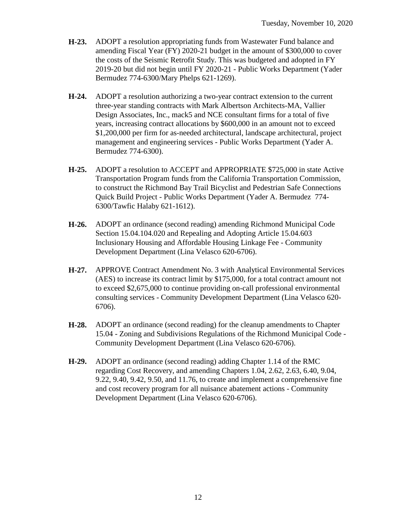- **H-23.** ADOPT a resolution appropriating funds from Wastewater Fund balance and amending Fiscal Year (FY) 2020-21 budget in the amount of \$300,000 to cover the costs of the Seismic Retrofit Study. This was budgeted and adopted in FY 2019-20 but did not begin until FY 2020-21 - Public Works Department (Yader Bermudez 774-6300/Mary Phelps 621-1269).
- **H-24.** ADOPT a resolution authorizing a two-year contract extension to the current three-year standing contracts with Mark Albertson Architects-MA, Vallier Design Associates, Inc., mack5 and NCE consultant firms for a total of five years, increasing contract allocations by \$600,000 in an amount not to exceed \$1,200,000 per firm for as-needed architectural, landscape architectural, project management and engineering services - Public Works Department (Yader A. Bermudez 774-6300).
- **H-25.** ADOPT a resolution to ACCEPT and APPROPRIATE \$725,000 in state Active Transportation Program funds from the California Transportation Commission, to construct the Richmond Bay Trail Bicyclist and Pedestrian Safe Connections Quick Build Project - Public Works Department (Yader A. Bermudez 774- 6300/Tawfic Halaby 621-1612).
- **H-26.** ADOPT an ordinance (second reading) amending Richmond Municipal Code Section 15.04.104.020 and Repealing and Adopting Article 15.04.603 Inclusionary Housing and Affordable Housing Linkage Fee - Community Development Department (Lina Velasco 620-6706).
- **H-27.** APPROVE Contract Amendment No. 3 with Analytical Environmental Services (AES) to increase its contract limit by \$175,000, for a total contract amount not to exceed \$2,675,000 to continue providing on-call professional environmental consulting services - Community Development Department (Lina Velasco 620- 6706).
- **H-28.** ADOPT an ordinance (second reading) for the cleanup amendments to Chapter 15.04 - Zoning and Subdivisions Regulations of the Richmond Municipal Code - Community Development Department (Lina Velasco 620-6706).
- **H-29.** ADOPT an ordinance (second reading) adding Chapter 1.14 of the RMC regarding Cost Recovery, and amending Chapters 1.04, 2.62, 2.63, 6.40, 9.04, 9.22, 9.40, 9.42, 9.50, and 11.76, to create and implement a comprehensive fine and cost recovery program for all nuisance abatement actions - Community Development Department (Lina Velasco 620-6706).